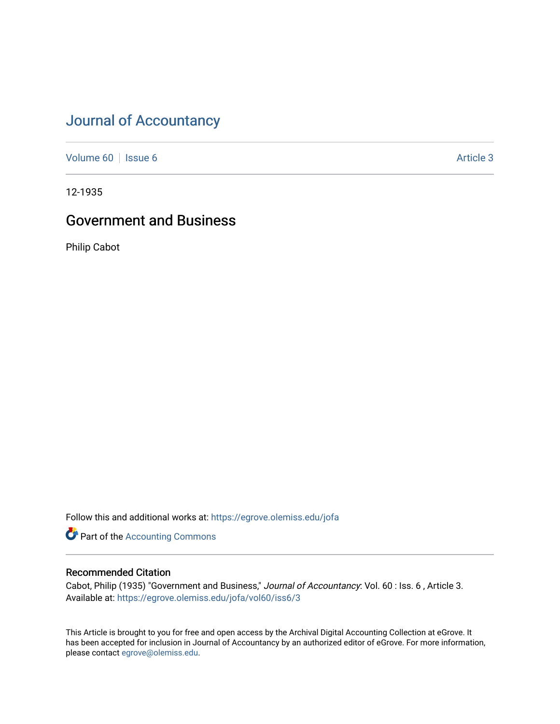# [Journal of Accountancy](https://egrove.olemiss.edu/jofa)

[Volume 60](https://egrove.olemiss.edu/jofa/vol60) | [Issue 6](https://egrove.olemiss.edu/jofa/vol60/iss6) Article 3

12-1935

## Government and Business

Philip Cabot

Follow this and additional works at: [https://egrove.olemiss.edu/jofa](https://egrove.olemiss.edu/jofa?utm_source=egrove.olemiss.edu%2Fjofa%2Fvol60%2Fiss6%2F3&utm_medium=PDF&utm_campaign=PDFCoverPages) 

**Part of the [Accounting Commons](http://network.bepress.com/hgg/discipline/625?utm_source=egrove.olemiss.edu%2Fjofa%2Fvol60%2Fiss6%2F3&utm_medium=PDF&utm_campaign=PDFCoverPages)** 

### Recommended Citation

Cabot, Philip (1935) "Government and Business," Journal of Accountancy: Vol. 60 : Iss. 6 , Article 3. Available at: [https://egrove.olemiss.edu/jofa/vol60/iss6/3](https://egrove.olemiss.edu/jofa/vol60/iss6/3?utm_source=egrove.olemiss.edu%2Fjofa%2Fvol60%2Fiss6%2F3&utm_medium=PDF&utm_campaign=PDFCoverPages) 

This Article is brought to you for free and open access by the Archival Digital Accounting Collection at eGrove. It has been accepted for inclusion in Journal of Accountancy by an authorized editor of eGrove. For more information, please contact [egrove@olemiss.edu.](mailto:egrove@olemiss.edu)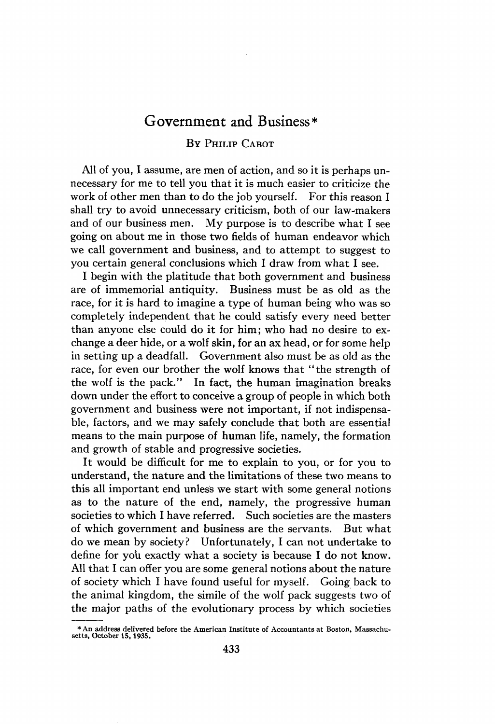## Government and Business\*

#### B<sup>y</sup> Philip Cabot

All of you, I assume, are men of action, and so it is perhaps unnecessary for me to tell you that it is much easier to criticize the work of other men than to do the job yourself. For this reason I shall try to avoid unnecessary criticism, both of our law-makers and of our business men. My purpose is to describe what I see going on about me in those two fields of human endeavor which we call government and business, and to attempt to suggest to you certain general conclusions which I draw from what I see.

I begin with the platitude that both government and business are of immemorial antiquity. Business must be as old as the race, for it is hard to imagine a type of human being who was so completely independent that he could satisfy every need better than anyone else could do it for him; who had no desire to exchange a deer hide, or a wolf skin, for an ax head, or for some help in setting up a deadfall. Government also must be as old as the race, for even our brother the wolf knows that "the strength of the wolf is the pack." In fact, the human imagination breaks down under the effort to conceive a group of people in which both government and business were not important, if not indispensable, factors, and we may safely conclude that both are essential means to the main purpose of human life, namely, the formation and growth of stable and progressive societies.

It would be difficult for me to explain to you, or for you to understand, the nature and the limitations of these two means to this all important end unless we start with some general notions as to the nature of the end, namely, the progressive human societies to which I have referred. Such societies are the masters of which government and business are the servants. But what do we mean by society? Unfortunately, I can not undertake to define for you exactly what a society is because I do not know. All that I can offer you are some general notions about the nature of society which I have found useful for myself. Going back to the animal kingdom, the simile of the wolf pack suggests two of the major paths of the evolutionary process by which societies

<sup>\*</sup> An address delivered before the American Institute of Accountants at Boston, Massachu-setts, October 15,1935.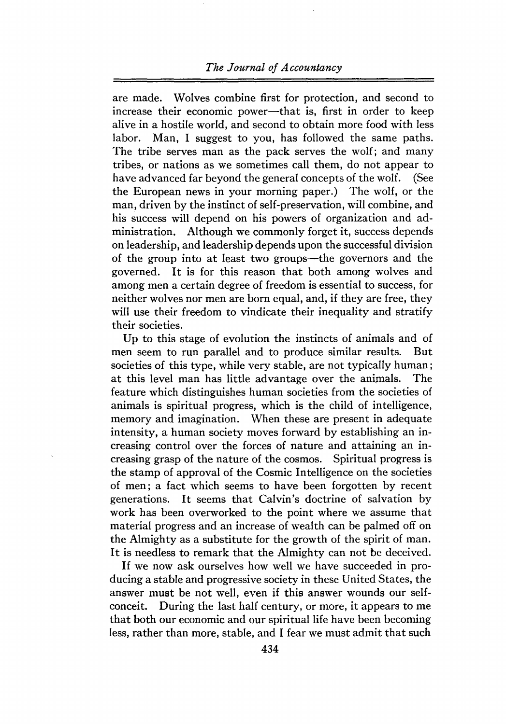#### *The Journal of Accountancy*

are made. Wolves combine first for protection, and second to increase their economic power—that is, first in order to keep alive in a hostile world, and second to obtain more food with less labor. Man, I suggest to you, has followed the same paths. The tribe serves man as the pack serves the wolf; and many tribes, or nations as we sometimes call them, do not appear to have advanced far beyond the general concepts of the wolf. (See the European news in your morning paper.) The wolf, or the man, driven by the instinct of self-preservation, will combine, and his success will depend on his powers of organization and administration. Although we commonly forget it, success depends on leadership, and leadership depends upon the successful division of the group into at least two groups—the governors and the governed. It is for this reason that both among wolves and among men a certain degree of freedom is essential to success, for neither wolves nor men are born equal, and, if they are free, they will use their freedom to vindicate their inequality and stratify their societies.

Up to this stage of evolution the instincts of animals and of men seem to run parallel and to produce similar results. But societies of this type, while very stable, are not typically human; at this level man has little advantage over the animals. The feature which distinguishes human societies from the societies of animals is spiritual progress, which is the child of intelligence, memory and imagination. When these are present in adequate intensity, a human society moves forward by establishing an increasing control over the forces of nature and attaining an increasing grasp of the nature of the cosmos. Spiritual progress is the stamp of approval of the Cosmic Intelligence on the societies of men; a fact which seems to have been forgotten by recent generations. It seems that Calvin's doctrine of salvation by work has been overworked to the point where we assume that material progress and an increase of wealth can be palmed off on the Almighty as a substitute for the growth of the spirit of man. It is needless to remark that the Almighty can not be deceived.

If we now ask ourselves how well we have succeeded in producing a stable and progressive society in these United States, the answer must be not well, even if this answer wounds our selfconceit. During the last half century, or more, it appears to me that both our economic and our spiritual life have been becoming less, rather than more, stable, and I fear we must admit that such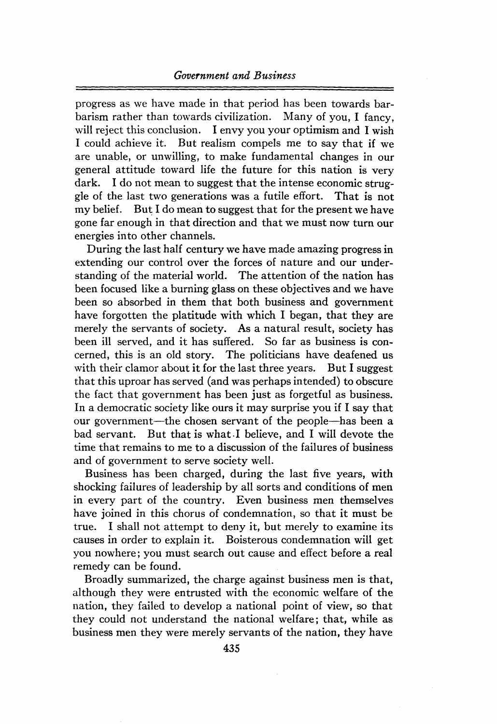progress as we have made in that period has been towards barbarism rather than towards civilization. Many of you, I fancy, will reject this conclusion. I envy you your optimism and I wish I could achieve it. But realism compels me to say that if we are unable, or unwilling, to make fundamental changes in our general attitude toward life the future for this nation is very dark. I do not mean to suggest that the intense economic struggle of the last two generations was a futile effort. That is not my belief. But I do mean to suggest that for the present we have gone far enough in that direction and that we must now turn our energies into other channels.

During the last half century we have made amazing progress in extending our control over the forces of nature and our understanding of the material world. The attention of the nation has been focused like a burning glass on these objectives and we have been so absorbed in them that both business and government have forgotten the platitude with which I began, that they are merely the servants of society. As a natural result, society has been ill served, and it has suffered. So far as business is concerned, this is an old story. The politicians have deafened us with their clamor about it for the last three years. But I suggest that this uproar has served (and was perhaps intended) to obscure the fact that government has been just as forgetful as business. In a democratic society like ours it may surprise you if I say that our government—the chosen servant of the people—has been a bad servant. But that is what I believe, and I will devote the time that remains to me to a discussion of the failures of business and of government to serve society well.

Business has been charged, during the last five years, with shocking failures of leadership by all sorts and conditions of men in every part of the country. Even business men themselves have joined in this chorus of condemnation, so that it must be true. I shall not attempt to deny it, but merely to examine its causes in order to explain it. Boisterous condemnation will get you nowhere; you must search out cause and effect before a real remedy can be found.

Broadly summarized, the charge against business men is that, although they were entrusted with the economic welfare of the nation, they failed to develop a national point of view, so that they could not understand the national welfare; that, while as business men they were merely servants of the nation, they have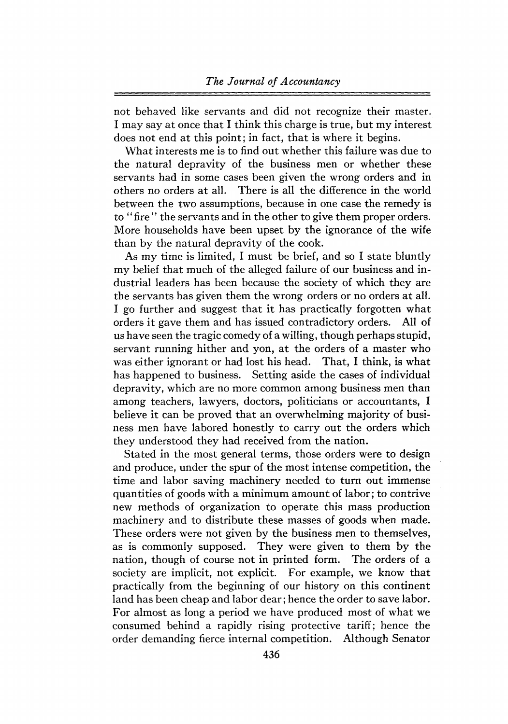not behaved like servants and did not recognize their master. I may say at once that I think this charge is true, but my interest does not end at this point; in fact, that is where it begins.

What interests me is to find out whether this failure was due to the natural depravity of the business men or whether these servants had in some cases been given the wrong orders and in others no orders at all. There is all the difference in the world between the two assumptions, because in one case the remedy is to " fire " the servants and in the other to give them proper orders. More households have been upset by the ignorance of the wife than by the natural depravity of the cook.

As my time is limited, I must be brief, and so I state bluntly my belief that much of the alleged failure of our business and industrial leaders has been because the society of which they are the servants has given them the wrong orders or no orders at all. I go further and suggest that it has practically forgotten what orders it gave them and has issued contradictory orders. All of us have seen the tragic comedy of a willing, though perhaps stupid, servant running hither and yon, at the orders of a master who was either ignorant or had lost his head. That, I think, is what has happened to business. Setting aside the cases of individual depravity, which are no more common among business men than among teachers, lawyers, doctors, politicians or accountants, I believe it can be proved that an overwhelming majority of business men have labored honestly to carry out the orders which they understood they had received from the nation.

Stated in the most general terms, those orders were to design and produce, under the spur of the most intense competition, the time and labor saving machinery needed to turn out immense quantities of goods with a minimum amount of labor; to contrive new methods of organization to operate this mass production machinery and to distribute these masses of goods when made. These orders were not given by the business men to themselves, as is commonly supposed. They were given to them by the nation, though of course not in printed form. The orders of a society are implicit, not explicit. For example, we know that practically from the beginning of our history on this continent land has been cheap and labor dear; hence the order to save labor. For almost as long a period we have produced most of what we consumed behind a rapidly rising protective tariff; hence the order demanding fierce internal competition. Although Senator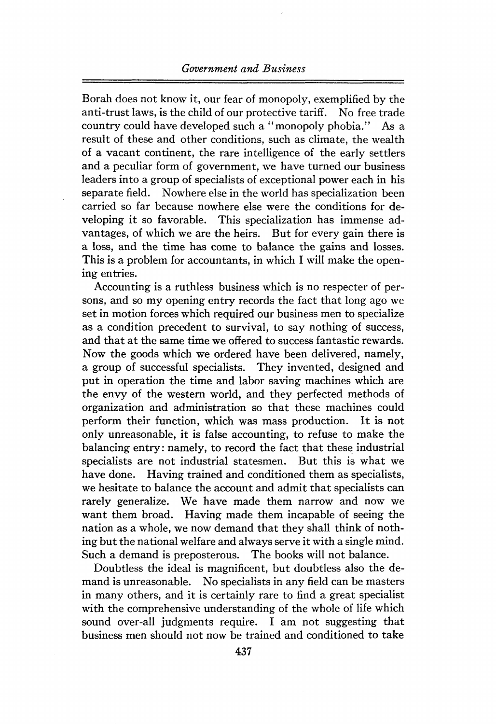#### *Government and Business*

Borah does not know it, our fear of monopoly, exemplified by the anti-trust laws, is the child of our protective tariff. No free trade country could have developed such a "monopoly phobia." As a result of these and other conditions, such as climate, the wealth of a vacant continent, the rare intelligence of the early settlers and a peculiar form of government, we have turned our business leaders into a group of specialists of exceptional power each in his separate field. Nowhere else in the world has specialization been carried so far because nowhere else were the conditions for developing it so favorable. This specialization has immense advantages, of which we are the heirs. But for every gain there is a loss, and the time has come to balance the gains and losses. This is a problem for accountants, in which I will make the opening entries.

Accounting is a ruthless business which is no respecter of persons, and so my opening entry records the fact that long ago we set in motion forces which required our business men to specialize as a condition precedent to survival, to say nothing of success, and that at the same time we offered to success fantastic rewards. Now the goods which we ordered have been delivered, namely, a group of successful specialists. They invented, designed and put in operation the time and labor saving machines which are the envy of the western world, and they perfected methods of organization and administration so that these machines could perform their function, which was mass production. It is not only unreasonable, it is false accounting, to refuse to make the balancing entry: namely, to record the fact that these industrial specialists are not industrial statesmen. But this is what we have done. Having trained and conditioned them as specialists, we hesitate to balance the account and admit that specialists can rarely generalize. We have made them narrow and now we want them broad. Having made them incapable of seeing the nation as a whole, we now demand that they shall think of nothing but the national welfare and always serve it with a single mind. Such a demand is preposterous. The books will not balance.

Doubtless the ideal is magnificent, but doubtless also the demand is unreasonable. No specialists in any field can be masters in many others, and it is certainly rare to find a great specialist with the comprehensive understanding of the whole of life which sound over-all judgments require. I am not suggesting that business men should not now be trained and conditioned to take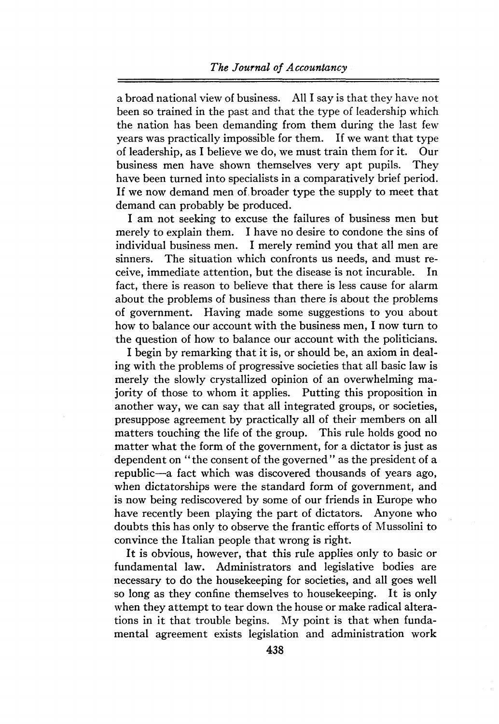a broad national view of business. All I say is that they have not been so trained in the past and that the type of leadership which the nation has been demanding from them during the last few years was practically impossible for them. If we want that type of leadership, as I believe we do, we must train them for it. Our of leadership, as I believe we do, we must train them for it. business men have shown themselves very apt pupils. They have been turned into specialists in a comparatively brief period. If we now demand men of broader type the supply to meet that demand can probably be produced.

I am not seeking to excuse the failures of business men but merely to explain them. I have no desire to condone the sins of individual business men. I merely remind you that all men are sinners. The situation which confronts us needs, and must receive, immediate attention, but the disease is not incurable. In fact, there is reason to believe that there is less cause for alarm about the problems of business than there is about the problems of government. Having made some suggestions to you about how to balance our account with the business men, I now turn to the question of how to balance our account with the politicians.

I begin by remarking that it is, or should be, an axiom in dealing with the problems of progressive societies that all basic law is merely the slowly crystallized opinion of an overwhelming majority of those to whom it applies. Putting this proposition in another way, we can say that all integrated groups, or societies, presuppose agreement by practically all of their members on all matters touching the life of the group. This rule holds good no matter what the form of the government, for a dictator is just as dependent on "the consent of the governed" as the president of a republic—a fact which was discovered thousands of years ago, when dictatorships were the standard form of government, and is now being rediscovered by some of our friends in Europe who have recently been playing the part of dictators. Anyone who doubts this has only to observe the frantic efforts of Mussolini to convince the Italian people that wrong is right.

It is obvious, however, that this rule applies only to basic or fundamental law. Administrators and legislative bodies are necessary to do the housekeeping for societies, and all goes well so long as they confine themselves to housekeeping. It is only when they attempt to tear down the house or make radical alterations in it that trouble begins. My point is that when fundamental agreement exists legislation and administration work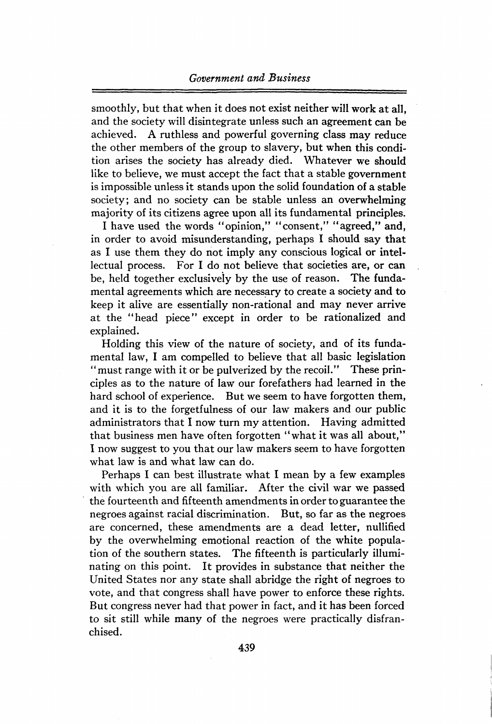smoothly, but that when it does not exist neither will work at all, and the society will disintegrate unless such an agreement can be achieved. A ruthless and powerful governing class may reduce the other members of the group to slavery, but when this condition arises the society has already died. Whatever we should like to believe, we must accept the fact that a stable government is impossible unless it stands upon the solid foundation of a stable society; and no society can be stable unless an overwhelming majority of its citizens agree upon all its fundamental principles.

I have used the words "opinion," "consent," "agreed," and, in order to avoid misunderstanding, perhaps I should say that as I use them they do not imply any conscious logical or intellectual process. For I do not believe that societies are, or can be, held together exclusively by the use of reason. The fundamental agreements which are necessary to create a society and to keep it alive are essentially non-rational and may never arrive at the "head piece" except in order to be rationalized and explained.

Holding this view of the nature of society, and of its fundamental law, I am compelled to believe that all basic legislation "must range with it or be pulverized by the recoil." These principles as to the nature of law our forefathers had learned in the hard school of experience. But we seem to have forgotten them, and it is to the forgetfulness of our law makers and our public administrators that I now turn my attention. Having admitted that business men have often forgotten "what it was all about," I now suggest to you that our law makers seem to have forgotten what law is and what law can do.

Perhaps I can best illustrate what I mean by a few examples with which you are all familiar. After the civil war we passed the fourteenth and fifteenth amendmentsin order to guarantee the negroes against racial discrimination. But, so far as the negroes are concerned, these amendments are a dead letter, nullified by the overwhelming emotional reaction of the white population of the southern states. The fifteenth is particularly illuminating on this point. It provides in substance that neither the United States nor any state shall abridge the right of negroes to vote, and that congress shall have power to enforce these rights. But congress never had that power in fact, and it has been forced to sit still while many of the negroes were practically disfranchised.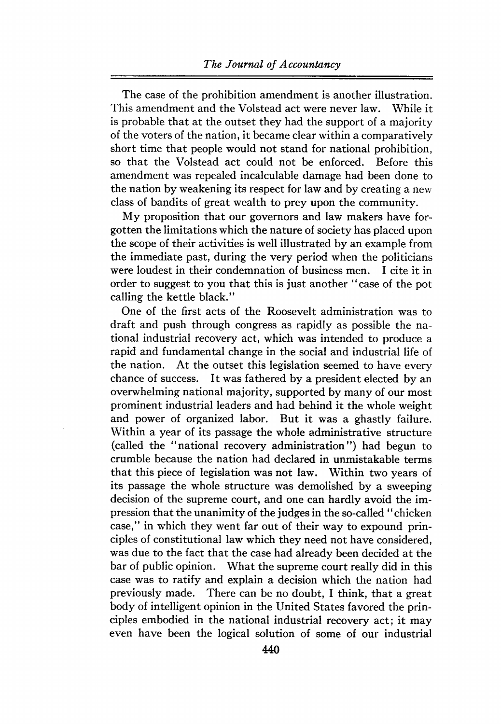The case of the prohibition amendment is another illustration. This amendment and the Volstead act were never law. While it is probable that at the outset they had the support of a majority of the voters of the nation, it became clear within a comparatively short time that people would not stand for national prohibition, so that the Volstead act could not be enforced. Before this amendment was repealed incalculable damage had been done to the nation by weakening its respect for law and by creating a new class of bandits of great wealth to prey upon the community.

My proposition that our governors and law makers have forgotten the limitations which the nature of society has placed upon the scope of their activities is well illustrated by an example from the immediate past, during the very period when the politicians were loudest in their condemnation of business men. I cite it in order to suggest to you that this is just another "case of the pot calling the kettle black."

One of the first acts of the Roosevelt administration was to draft and push through congress as rapidly as possible the national industrial recovery act, which was intended to produce a rapid and fundamental change in the social and industrial life of the nation. At the outset this legislation seemed to have every chance of success. It was fathered by a president elected by an overwhelming national majority, supported by many of our most prominent industrial leaders and had behind it the whole weight and power of organized labor. But it was a ghastly failure. Within a year of its passage the whole administrative structure (called the "national recovery administration") had begun to crumble because the nation had declared in unmistakable terms that this piece of legislation was not law. Within two years of its passage the whole structure was demolished by a sweeping decision of the supreme court, and one can hardly avoid the impression that the unanimity of the judgesin the so-called "chicken case," in which they went far out of their way to expound principles of constitutional law which they need not have considered, was due to the fact that the case had already been decided at the bar of public opinion. What the supreme court really did in this case was to ratify and explain a decision which the nation had previously made. There can be no doubt, I think, that a great body of intelligent opinion in the United States favored the principles embodied in the national industrial recovery act; it may even have been the logical solution of some of our industrial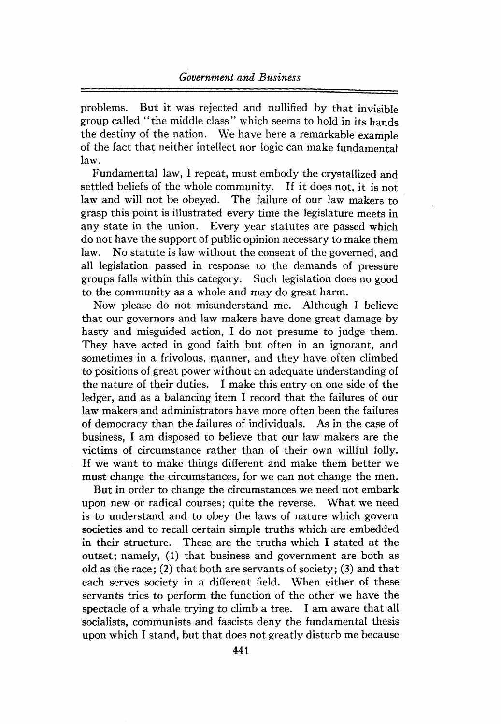problems. But it was rejected and nullified by that invisible group called "the middle class" which seems to hold in its hands the destiny of the nation. We have here a remarkable example of the fact that neither intellect nor logic can make fundamental law.

Fundamental law, I repeat, must embody the crystallized and settled beliefs of the whole community. If it does not, it is not law and will not be obeyed. The failure of our law makers to grasp this point is illustrated every time the legislature meets in any state in the union. Every year statutes are passed which do not have the support of public opinion necessary to make them law. No statute is law without the consent of the governed, and all legislation passed in response to the demands of pressure groups falls within this category. Such legislation does no good to the community as a whole and may do great harm.

Now please do not misunderstand me. Although I believe that our governors and law makers have done great damage by hasty and misguided action, I do not presume to judge them. They have acted in good faith but often in an ignorant, and sometimes in a frivolous, manner, and they have often climbed to positions of great power without an adequate understanding of the nature of their duties. I make this entry on one side of the ledger, and as a balancing item I record that the failures of our law makers and administrators have more often been the failures of democracy than the failures of individuals. As in the case of business, I am disposed to believe that our law makers are the victims of circumstance rather than of their own willful folly. If we want to make things different and make them better we must change the circumstances, for we can not change the men.

But in order to change the circumstances we need not embark upon new or radical courses; quite the reverse. What we need is to understand and to obey the laws of nature which govern societies and to recall certain simple truths which are embedded in their structure. These are the truths which I stated at the outset; namely, (1) that business and government are both as old as the race; (2) that both are servants of society; (3) and that each serves society in a different field. When either of these servants tries to perform the function of the other we have the spectacle of a whale trying to climb a tree. I am aware that all socialists, communists and fascists deny the fundamental thesis upon which I stand, but that does not greatly disturb me because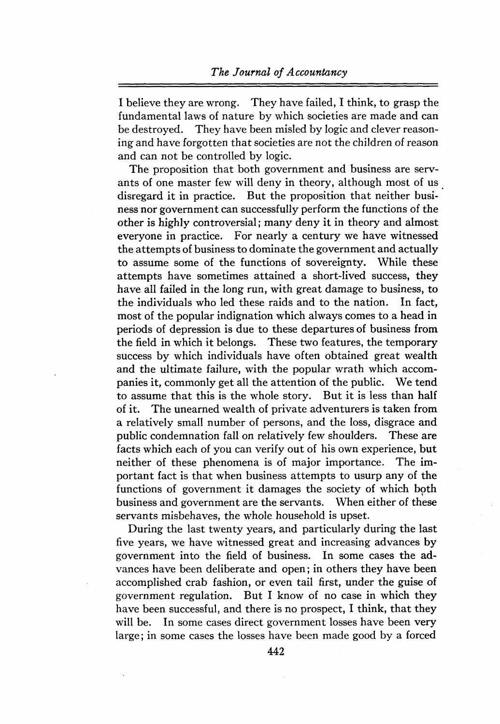I believe they are wrong. They have failed, I think, to grasp the fundamental laws of nature by which societies are made and can be destroyed. They have been misled by logic and clever reasoning and have forgotten that societies are not the children of reason and can not be controlled by logic.

The proposition that both government and business are servants of one master few will deny in theory, although most of us disregard it in practice. But the proposition that neither business nor government can successfully perform the functions of the other is highly controversial; many deny it in theory and almost everyone in practice. For nearly a century we have witnessed the attempts of business to dominate the government and actually to assume some of the functions of sovereignty. While these attempts have sometimes attained a short-lived success, they have all failed in the long run, with great damage to business, to the individuals who led these raids and to the nation. In fact, most of the popular indignation which always comes to a head in periods of depression is due to these departures of business from the field in which it belongs. These two features, the temporary success by which individuals have often obtained great wealth and the ultimate failure, with the popular wrath which accompanies it, commonly get all the attention of the public. We tend to assume that this is the whole story. But it is less than half of it. The unearned wealth of private adventurers is taken from a relatively small number of persons, and the loss, disgrace and public condemnation fall on relatively few shoulders. These are facts which each of you can verify out of his own experience, but neither of these phenomena is of major importance. The important fact is that when business attempts to usurp any of the functions of government it damages the society of which both business and government are the servants. When either of these servants misbehaves, the whole household is upset.

During the last twenty years, and particularly during the last five years, we have witnessed great and increasing advances by government into the field of business. In some cases the advances have been deliberate and open; in others they have been accomplished crab fashion, or even tail first, under the guise of government regulation. But I know of no case in which they have been successful, and there is no prospect, I think, that they will be. In some cases direct government losses have been very large; in some cases the losses have been made good by a forced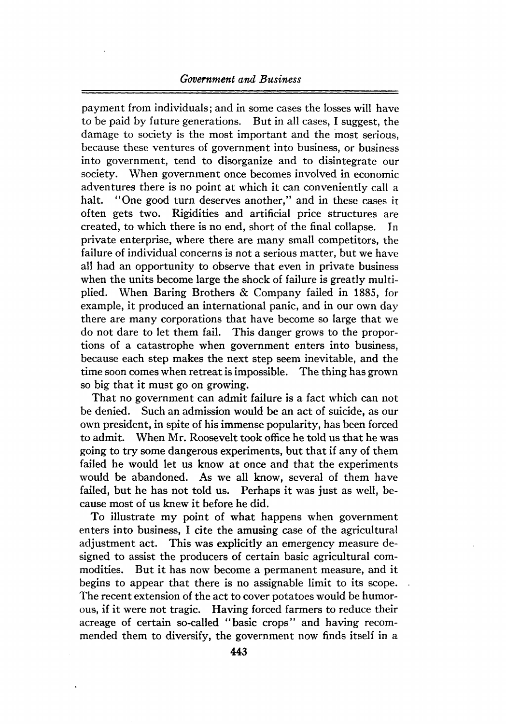#### *Government and Business*

payment from individuals; and in some cases the losses will have to be paid by future generations. But in all cases, I suggest, the damage to society is the most important and the most serious, because these ventures of government into business, or business into government, tend to disorganize and to disintegrate our society. When government once becomes involved in economic adventures there is no point at which it can conveniently call a halt. "One good turn deserves another," and in these cases it often gets two. Rigidities and artificial price structures are created, to which there is no end, short of the final collapse. In private enterprise, where there are many small competitors, the failure of individual concerns is not a serious matter, but we have all had an opportunity to observe that even in private business when the units become large the shock of failure is greatly multiplied. When Baring Brothers & Company failed in 1885, for example, it produced an international panic, and in our own day there are many corporations that have become so large that we do not dare to let them fail. This danger grows to the proportions of a catastrophe when government enters into business, because each step makes the next step seem inevitable, and the time soon comes when retreat is impossible. The thing has grown so big that it must go on growing.

That no government can admit failure is a fact which can not be denied. Such an admission would be an act of suicide, as our own president, in spite of his immense popularity, has been forced to admit. When Mr. Roosevelt took office he told us that he was going to try some dangerous experiments, but that if any of them failed he would let us know at once and that the experiments would be abandoned. As we all know, several of them have failed, but he has not told us. Perhaps it was just as well, because most of us knew it before he did.

To illustrate my point of what happens when government enters into business, I cite the amusing case of the agricultural adjustment act. This was explicitly an emergency measure designed to assist the producers of certain basic agricultural commodities. But it has now become a permanent measure, and it begins to appear that there is no assignable limit to its scope. The recent extension of the act to cover potatoes would be humorous, if it were not tragic. Having forced farmers to reduce their acreage of certain so-called "basic crops" and having recommended them to diversify, the government now finds itself in a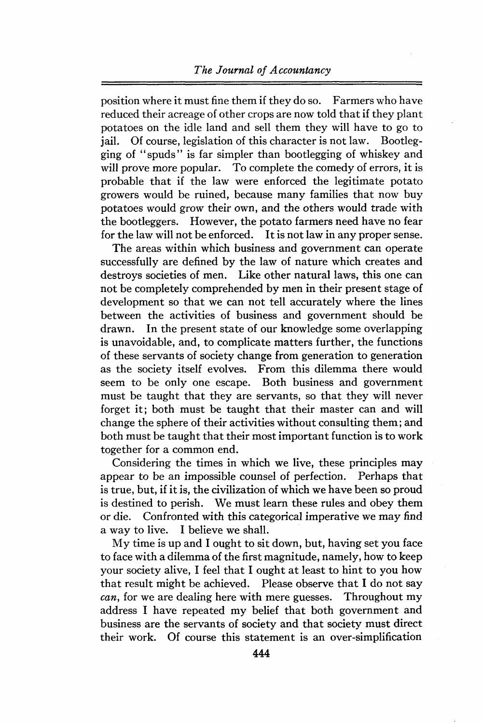#### *The Journal of Accountancy*

position where it must fine them if they do so. Farmers who have reduced their acreage of other crops are now told that if they plant potatoes on the idle land and sell them they will have to go to jail. Of course, legislation of this character is not law. Bootlegging of "spuds" is far simpler than bootlegging of whiskey and will prove more popular. To complete the comedy of errors, it is probable that if the law were enforced the legitimate potato growers would be ruined, because many families that now buy potatoes would grow their own, and the others would trade with the bootleggers. However, the potato farmers need have no fear for the law will not be enforced. It is not law in any propersense.

The areas within which business and government can operate successfully are defined by the law of nature which creates and destroys societies of men. Like other natural laws, this one can not be completely comprehended by men in their present stage of development so that we can not tell accurately where the lines between the activities of business and government should be drawn. In the present state of our knowledge some overlapping is unavoidable, and, to complicate matters further, the functions of these servants of society change from generation to generation as the society itself evolves. From this dilemma there would seem to be only one escape. Both business and government must be taught that they are servants, so that they will never forget it; both must be taught that their master can and will change the sphere of their activities without consulting them; and both must be taught that their most important function is to work together for a common end.

Considering the times in which we live, these principles may appear to be an impossible counsel of perfection. Perhaps that is true, but, if it is, the civilization of which we have been so proud is destined to perish. We must learn these rules and obey them or die. Confronted with this categorical imperative we may find a way to live. I believe we shall.

My time is up and I ought to sit down, but, having set you face to face with a dilemma of the first magnitude, namely, how to keep your society alive, I feel that I ought at least to hint to you how that result might be achieved. Please observe that I do not say *can,* for we are dealing here with mere guesses. Throughout my address I have repeated my belief that both government and business are the servants of society and that society must direct their work. Of course this statement is an over-simplification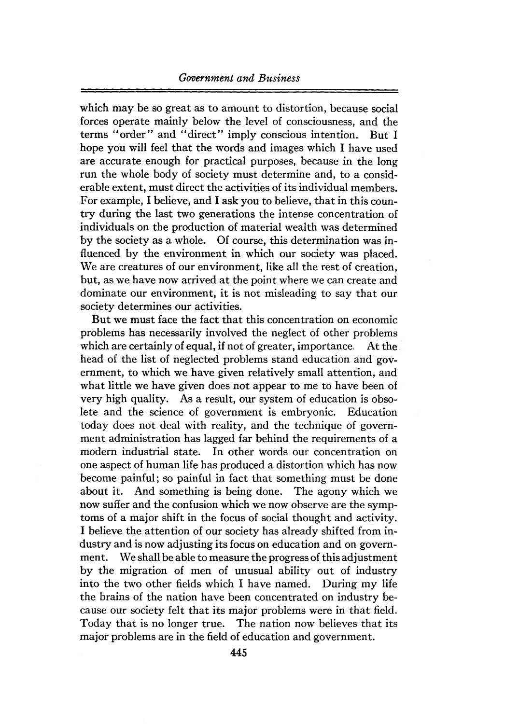which may be so great as to amount to distortion, because social forces operate mainly below the level of consciousness, and the terms "order" and "direct" imply conscious intention. But <sup>I</sup> hope you will feel that the words and images which I have used are accurate enough for practical purposes, because in the long run the whole body of society must determine and, to a considerable extent, must direct the activities of its individual members. For example, I believe, and I ask you to believe, that in this country during the last two generations the intense concentration of individuals on the production of material wealth was determined by the society as a whole. Of course, this determination was influenced by the environment in which our society was placed. We are creatures of our environment, like all the rest of creation. but, as we have now arrived at the point where we can create and dominate our environment, it is not misleading to say that our society determines our activities.

But we must face the fact that this concentration on economic problems has necessarily involved the neglect of other problems which are certainly of equal, if not of greater, importance. At the head of the list of neglected problems stand education and government, to which we have given relatively small attention, and what little we have given does not appear to me to have been of very high quality. As a result, our system of education is obsolete and the science of government is embryonic. Education today does not deal with reality, and the technique of government administration has lagged far behind the requirements of a modern industrial state. In other words our concentration on one aspect of human life has produced a distortion which has now become painful; so painful in fact that something must be done about it. And something is being done. The agony which we now suffer and the confusion which we now observe are the symptoms of a major shift in the focus of social thought and activity. I believe the attention of our society has already shifted from industry and is now adjusting its focus on education and on government. We shall be able to measure the progress of this adjustment by the migration of men of unusual ability out of industry into the two other fields which I have named. During my life the brains of the nation have been concentrated on industry because our society felt that its major problems were in that field. Today that is no longer true. The nation now believes that its major problems are in the field of education and government.